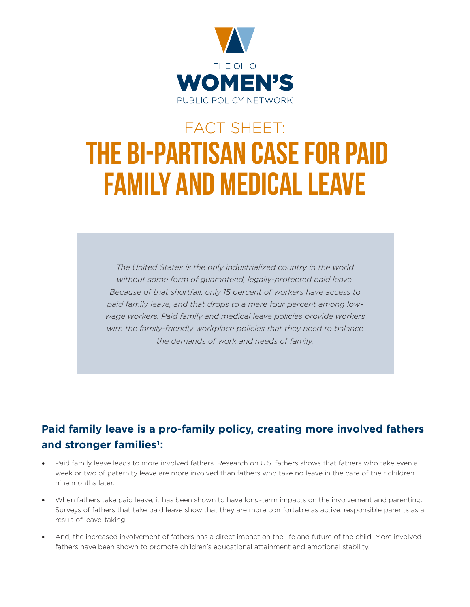

# FACT SHEET: THE BI-PARTISAN CASE FOR PAID FAMILY AND MEDICAL LEAVE

*The United States is the only industrialized country in the world without some form of guaranteed, legally-protected paid leave. Because of that shortfall, only 15 percent of workers have access to paid family leave, and that drops to a mere four percent among lowwage workers. Paid family and medical leave policies provide workers with the family-friendly workplace policies that they need to balance the demands of work and needs of family.*

## **Paid family leave is a pro-family policy, creating more involved fathers and stronger families1:**

- Paid family leave leads to more involved fathers. Research on U.S. fathers shows that fathers who take even a week or two of paternity leave are more involved than fathers who take no leave in the care of their children nine months later.
- When fathers take paid leave, it has been shown to have long-term impacts on the involvement and parenting. Surveys of fathers that take paid leave show that they are more comfortable as active, responsible parents as a result of leave-taking.
- And, the increased involvement of fathers has a direct impact on the life and future of the child. More involved fathers have been shown to promote children's educational attainment and emotional stability.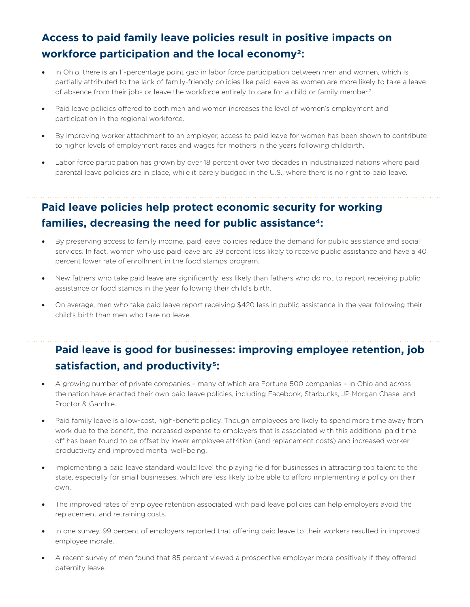## **Access to paid family leave policies result in positive impacts on workforce participation and the local economy2:**

- In Ohio, there is an 11-percentage point gap in labor force participation between men and women, which is partially attributed to the lack of family-friendly policies like paid leave as women are more likely to take a leave of absence from their jobs or leave the workforce entirely to care for a child or family member.<sup>3</sup>
- Paid leave policies offered to both men and women increases the level of women's employment and participation in the regional workforce.
- By improving worker attachment to an employer, access to paid leave for women has been shown to contribute to higher levels of employment rates and wages for mothers in the years following childbirth.
- Labor force participation has grown by over 18 percent over two decades in industrialized nations where paid parental leave policies are in place, while it barely budged in the U.S., where there is no right to paid leave.

## **Paid leave policies help protect economic security for working families, decreasing the need for public assistance4:**

- By preserving access to family income, paid leave policies reduce the demand for public assistance and social services. In fact, women who use paid leave are 39 percent less likely to receive public assistance and have a 40 percent lower rate of enrollment in the food stamps program.
- New fathers who take paid leave are significantly less likely than fathers who do not to report receiving public assistance or food stamps in the year following their child's birth.
- On average, men who take paid leave report receiving \$420 less in public assistance in the year following their child's birth than men who take no leave.

## **Paid leave is good for businesses: improving employee retention, job satisfaction, and productivity5:**

- A growing number of private companies many of which are Fortune 500 companies in Ohio and across the nation have enacted their own paid leave policies, including Facebook, Starbucks, JP Morgan Chase, and Proctor & Gamble.
- Paid family leave is a low-cost, high-benefit policy. Though employees are likely to spend more time away from work due to the benefit, the increased expense to employers that is associated with this additional paid time off has been found to be offset by lower employee attrition (and replacement costs) and increased worker productivity and improved mental well-being.
- Implementing a paid leave standard would level the playing field for businesses in attracting top talent to the state, especially for small businesses, which are less likely to be able to afford implementing a policy on their own.
- The improved rates of employee retention associated with paid leave policies can help employers avoid the replacement and retraining costs.
- In one survey, 99 percent of employers reported that offering paid leave to their workers resulted in improved employee morale.
- A recent survey of men found that 85 percent viewed a prospective employer more positively if they offered paternity leave.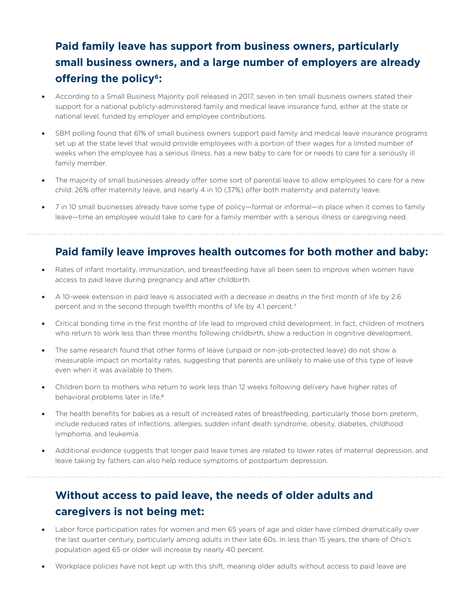## **Paid family leave has support from business owners, particularly small business owners, and a large number of employers are already offering the policy6:**

- According to a Small Business Majority poll released in 2017, seven in ten small business owners stated their support for a national publicly-administered family and medical leave insurance fund, either at the state or national level, funded by employer and employee contributions.
- SBM polling found that 61% of small business owners support paid family and medical leave insurance programs set up at the state level that would provide employees with a portion of their wages for a limited number of weeks when the employee has a serious illness, has a new baby to care for or needs to care for a seriously ill family member.
- The majority of small businesses already offer some sort of parental leave to allow employees to care for a new child: 26% offer maternity leave, and nearly 4 in 10 (37%) offer both maternity and paternity leave.
- 7 in 10 small businesses already have some type of policy—formal or informal—in place when it comes to family leave—time an employee would take to care for a family member with a serious illness or caregiving need.

#### **Paid family leave improves health outcomes for both mother and baby:**

- Rates of infant mortality, immunization, and breastfeeding have all been seen to improve when women have access to paid leave during pregnancy and after childbirth.
- A 10-week extension in paid leave is associated with a decrease in deaths in the first month of life by 2.6 percent and in the second through twelfth months of life by 4.1 percent.<sup>7</sup>
- Critical bonding time in the first months of life lead to improved child development. In fact, children of mothers who return to work less than three months following childbirth, show a reduction in cognitive development.
- The same research found that other forms of leave (unpaid or non-job-protected leave) do not show a measurable impact on mortality rates, suggesting that parents are unlikely to make use of this type of leave even when it was available to them.
- Children born to mothers who return to work less than 12 weeks following delivery have higher rates of behavioral problems later in life.8
- The health benefits for babies as a result of increased rates of breastfeeding, particularly those born preterm, include reduced rates of infections, allergies, sudden infant death syndrome, obesity, diabetes, childhood lymphoma, and leukemia.
- Additional evidence suggests that longer paid leave times are related to lower rates of maternal depression, and leave taking by fathers can also help reduce symptoms of postpartum depression.

## **Without access to paid leave, the needs of older adults and caregivers is not being met:**

- Labor force participation rates for women and men 65 years of age and older have climbed dramatically over the last quarter century, particularly among adults in their late 60s. In less than 15 years, the share of Ohio's population aged 65 or older will increase by nearly 40 percent.
- Workplace policies have not kept up with this shift, meaning older adults without access to paid leave are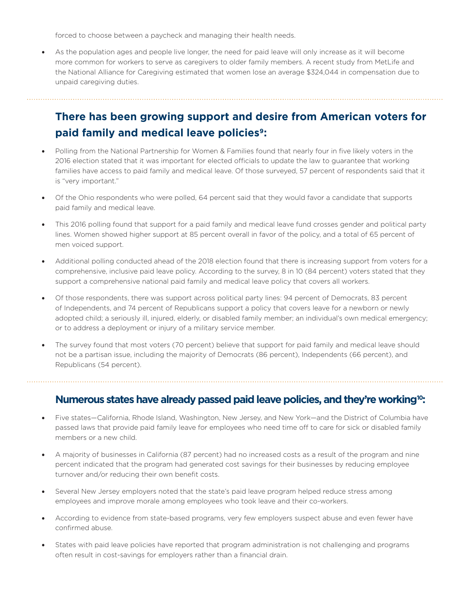forced to choose between a paycheck and managing their health needs.

As the population ages and people live longer, the need for paid leave will only increase as it will become more common for workers to serve as caregivers to older family members. A recent study from MetLife and the National Alliance for Caregiving estimated that women lose an average \$324,044 in compensation due to unpaid caregiving duties.

#### **There has been growing support and desire from American voters for paid family and medical leave policies9:**

- Polling from the National Partnership for Women & Families found that nearly four in five likely voters in the 2016 election stated that it was important for elected officials to update the law to guarantee that working families have access to paid family and medical leave. Of those surveyed, 57 percent of respondents said that it is "very important."
- Of the Ohio respondents who were polled, 64 percent said that they would favor a candidate that supports paid family and medical leave.
- This 2016 polling found that support for a paid family and medical leave fund crosses gender and political party lines. Women showed higher support at 85 percent overall in favor of the policy, and a total of 65 percent of men voiced support.
- Additional polling conducted ahead of the 2018 election found that there is increasing support from voters for a comprehensive, inclusive paid leave policy. According to the survey, 8 in 10 (84 percent) voters stated that they support a comprehensive national paid family and medical leave policy that covers all workers.
- Of those respondents, there was support across political party lines: 94 percent of Democrats, 83 percent of Independents, and 74 percent of Republicans support a policy that covers leave for a newborn or newly adopted child; a seriously ill, injured, elderly, or disabled family member; an individual's own medical emergency; or to address a deployment or injury of a military service member.
- The survey found that most voters (70 percent) believe that support for paid family and medical leave should not be a partisan issue, including the majority of Democrats (86 percent), Independents (66 percent), and Republicans (54 percent).

#### **Numerous states have already passed paid leave policies, and they're working10:**

- Five states—California, Rhode Island, Washington, New Jersey, and New York—and the District of Columbia have passed laws that provide paid family leave for employees who need time off to care for sick or disabled family members or a new child.
- A majority of businesses in California (87 percent) had no increased costs as a result of the program and nine percent indicated that the program had generated cost savings for their businesses by reducing employee turnover and/or reducing their own benefit costs.
- Several New Jersey employers noted that the state's paid leave program helped reduce stress among employees and improve morale among employees who took leave and their co-workers.
- According to evidence from state-based programs, very few employers suspect abuse and even fewer have confirmed abuse.
- States with paid leave policies have reported that program administration is not challenging and programs often result in cost-savings for employers rather than a financial drain.